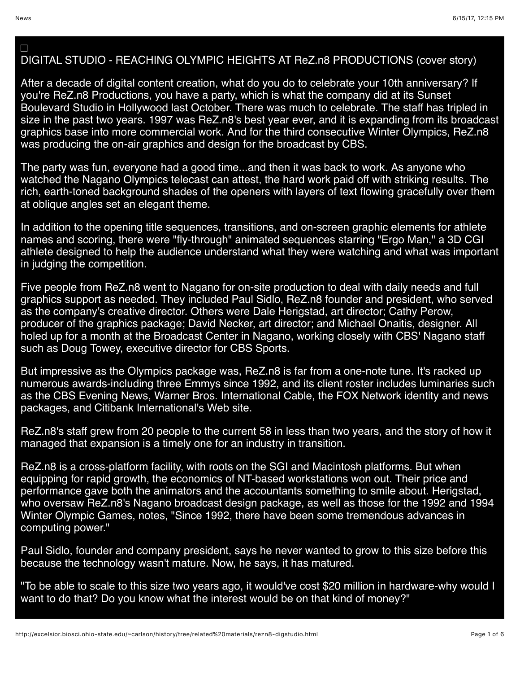$\Box$ 

## DIGITAL STUDIO - REACHING OLYMPIC HEIGHTS AT ReZ.n8 PRODUCTIONS (cover story)

After a decade of digital content creation, what do you do to celebrate your 10th anniversary? If you're ReZ.n8 Productions, you have a party, which is what the company did at its Sunset Boulevard Studio in Hollywood last October. There was much to celebrate. The staff has tripled in size in the past two years. 1997 was ReZ.n8's best year ever, and it is expanding from its broadcast graphics base into more commercial work. And for the third consecutive Winter Olympics, ReZ.n8 was producing the on-air graphics and design for the broadcast by CBS.

The party was fun, everyone had a good time...and then it was back to work. As anyone who watched the Nagano Olympics telecast can attest, the hard work paid off with striking results. The rich, earth-toned background shades of the openers with layers of text flowing gracefully over them at oblique angles set an elegant theme.

In addition to the opening title sequences, transitions, and on-screen graphic elements for athlete names and scoring, there were "fly-through" animated sequences starring "Ergo Man," a 3D CGI athlete designed to help the audience understand what they were watching and what was important in judging the competition.

Five people from ReZ.n8 went to Nagano for on-site production to deal with daily needs and full graphics support as needed. They included Paul Sidlo, ReZ.n8 founder and president, who served as the company's creative director. Others were Dale Herigstad, art director; Cathy Perow, producer of the graphics package; David Necker, art director; and Michael Onaitis, designer. All holed up for a month at the Broadcast Center in Nagano, working closely with CBS' Nagano staff such as Doug Towey, executive director for CBS Sports.

But impressive as the Olympics package was, ReZ.n8 is far from a one-note tune. It's racked up numerous awards-including three Emmys since 1992, and its client roster includes luminaries such as the CBS Evening News, Warner Bros. International Cable, the FOX Network identity and news packages, and Citibank International's Web site.

ReZ.n8's staff grew from 20 people to the current 58 in less than two years, and the story of how it managed that expansion is a timely one for an industry in transition.

ReZ.n8 is a cross-platform facility, with roots on the SGI and Macintosh platforms. But when equipping for rapid growth, the economics of NT-based workstations won out. Their price and performance gave both the animators and the accountants something to smile about. Herigstad, who oversaw ReZ.n8's Nagano broadcast design package, as well as those for the 1992 and 1994 Winter Olympic Games, notes, "Since 1992, there have been some tremendous advances in computing power."

Paul Sidlo, founder and company president, says he never wanted to grow to this size before this because the technology wasn't mature. Now, he says, it has matured.

"To be able to scale to this size two years ago, it would've cost \$20 million in hardware-why would I want to do that? Do you know what the interest would be on that kind of money?"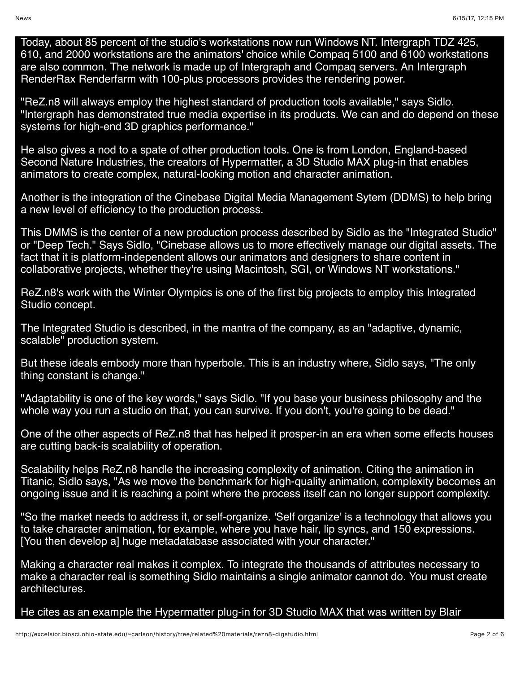Today, about 85 percent of the studio's workstations now run Windows NT. Intergraph TDZ 425, 610, and 2000 workstations are the animators' choice while Compaq 5100 and 6100 workstations are also common. The network is made up of Intergraph and Compaq servers. An Intergraph RenderRax Renderfarm with 100-plus processors provides the rendering power.

"ReZ.n8 will always employ the highest standard of production tools available," says Sidlo. "Intergraph has demonstrated true media expertise in its products. We can and do depend on these systems for high-end 3D graphics performance."

He also gives a nod to a spate of other production tools. One is from London, England-based Second Nature Industries, the creators of Hypermatter, a 3D Studio MAX plug-in that enables animators to create complex, natural-looking motion and character animation.

Another is the integration of the Cinebase Digital Media Management Sytem (DDMS) to help bring a new level of efficiency to the production process.

This DMMS is the center of a new production process described by Sidlo as the "Integrated Studio" or "Deep Tech." Says Sidlo, "Cinebase allows us to more effectively manage our digital assets. The fact that it is platform-independent allows our animators and designers to share content in collaborative projects, whether they're using Macintosh, SGI, or Windows NT workstations."

ReZ.n8's work with the Winter Olympics is one of the first big projects to employ this Integrated Studio concept.

The Integrated Studio is described, in the mantra of the company, as an "adaptive, dynamic, scalable" production system.

But these ideals embody more than hyperbole. This is an industry where, Sidlo says, "The only thing constant is change."

"Adaptability is one of the key words," says Sidlo. "If you base your business philosophy and the whole way you run a studio on that, you can survive. If you don't, you're going to be dead."

One of the other aspects of ReZ.n8 that has helped it prosper-in an era when some effects houses are cutting back-is scalability of operation.

Scalability helps ReZ.n8 handle the increasing complexity of animation. Citing the animation in Titanic, Sidlo says, "As we move the benchmark for high-quality animation, complexity becomes an ongoing issue and it is reaching a point where the process itself can no longer support complexity.

"So the market needs to address it, or self-organize. 'Self organize' is a technology that allows you to take character animation, for example, where you have hair, lip syncs, and 150 expressions. [You then develop a] huge metadatabase associated with your character."

Making a character real makes it complex. To integrate the thousands of attributes necessary to make a character real is something Sidlo maintains a single animator cannot do. You must create architectures.

He cites as an example the Hypermatter plug-in for 3D Studio MAX that was written by Blair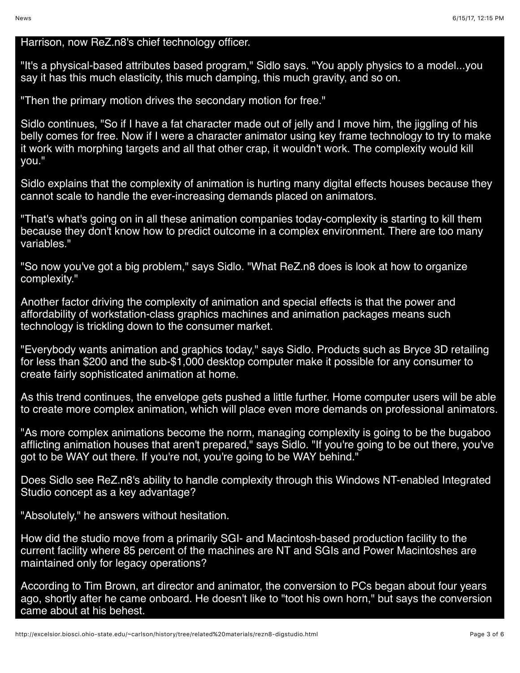## Harrison, now ReZ.n8's chief technology officer.

"It's a physical-based attributes based program," Sidlo says. "You apply physics to a model...you say it has this much elasticity, this much damping, this much gravity, and so on.

"Then the primary motion drives the secondary motion for free."

Sidlo continues, "So if I have a fat character made out of jelly and I move him, the jiggling of his belly comes for free. Now if I were a character animator using key frame technology to try to make it work with morphing targets and all that other crap, it wouldn't work. The complexity would kill you."

Sidlo explains that the complexity of animation is hurting many digital effects houses because they cannot scale to handle the ever-increasing demands placed on animators.

"That's what's going on in all these animation companies today-complexity is starting to kill them because they don't know how to predict outcome in a complex environment. There are too many variables."

"So now you've got a big problem," says Sidlo. "What ReZ.n8 does is look at how to organize complexity."

Another factor driving the complexity of animation and special effects is that the power and affordability of workstation-class graphics machines and animation packages means such technology is trickling down to the consumer market.

"Everybody wants animation and graphics today," says Sidlo. Products such as Bryce 3D retailing for less than \$200 and the sub-\$1,000 desktop computer make it possible for any consumer to create fairly sophisticated animation at home.

As this trend continues, the envelope gets pushed a little further. Home computer users will be able to create more complex animation, which will place even more demands on professional animators.

"As more complex animations become the norm, managing complexity is going to be the bugaboo afflicting animation houses that aren't prepared," says Sidlo. "If you're going to be out there, you've got to be WAY out there. If you're not, you're going to be WAY behind."

Does Sidlo see ReZ.n8's ability to handle complexity through this Windows NT-enabled Integrated Studio concept as a key advantage?

"Absolutely," he answers without hesitation.

How did the studio move from a primarily SGI- and Macintosh-based production facility to the current facility where 85 percent of the machines are NT and SGIs and Power Macintoshes are maintained only for legacy operations?

According to Tim Brown, art director and animator, the conversion to PCs began about four years ago, shortly after he came onboard. He doesn't like to "toot his own horn," but says the conversion came about at his behest.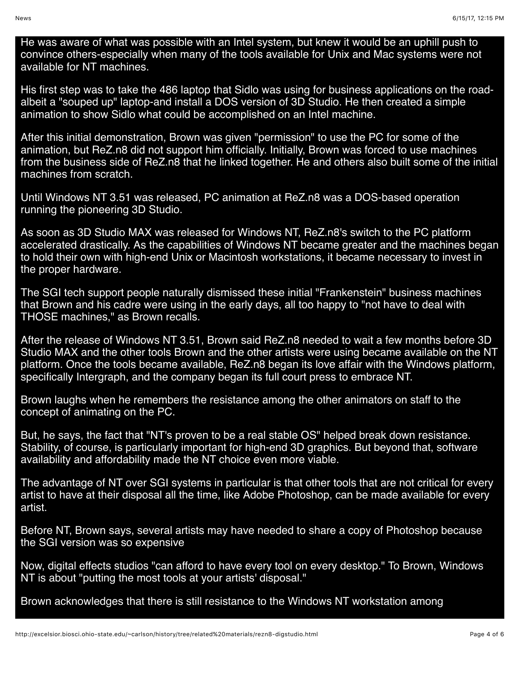He was aware of what was possible with an Intel system, but knew it would be an uphill push to convince others-especially when many of the tools available for Unix and Mac systems were not available for NT machines.

His first step was to take the 486 laptop that Sidlo was using for business applications on the roadalbeit a "souped up" laptop-and install a DOS version of 3D Studio. He then created a simple animation to show Sidlo what could be accomplished on an Intel machine.

After this initial demonstration, Brown was given "permission" to use the PC for some of the animation, but ReZ.n8 did not support him officially. Initially, Brown was forced to use machines from the business side of ReZ.n8 that he linked together. He and others also built some of the initial machines from scratch.

Until Windows NT 3.51 was released, PC animation at ReZ.n8 was a DOS-based operation running the pioneering 3D Studio.

As soon as 3D Studio MAX was released for Windows NT, ReZ.n8's switch to the PC platform accelerated drastically. As the capabilities of Windows NT became greater and the machines began to hold their own with high-end Unix or Macintosh workstations, it became necessary to invest in the proper hardware.

The SGI tech support people naturally dismissed these initial "Frankenstein" business machines that Brown and his cadre were using in the early days, all too happy to "not have to deal with THOSE machines," as Brown recalls.

After the release of Windows NT 3.51, Brown said ReZ.n8 needed to wait a few months before 3D Studio MAX and the other tools Brown and the other artists were using became available on the NT platform. Once the tools became available, ReZ.n8 began its love affair with the Windows platform, specifically Intergraph, and the company began its full court press to embrace NT.

Brown laughs when he remembers the resistance among the other animators on staff to the concept of animating on the PC.

But, he says, the fact that "NT's proven to be a real stable OS" helped break down resistance. Stability, of course, is particularly important for high-end 3D graphics. But beyond that, software availability and affordability made the NT choice even more viable.

The advantage of NT over SGI systems in particular is that other tools that are not critical for every artist to have at their disposal all the time, like Adobe Photoshop, can be made available for every artist.

Before NT, Brown says, several artists may have needed to share a copy of Photoshop because the SGI version was so expensive

Now, digital effects studios "can afford to have every tool on every desktop." To Brown, Windows NT is about "putting the most tools at your artists' disposal."

Brown acknowledges that there is still resistance to the Windows NT workstation among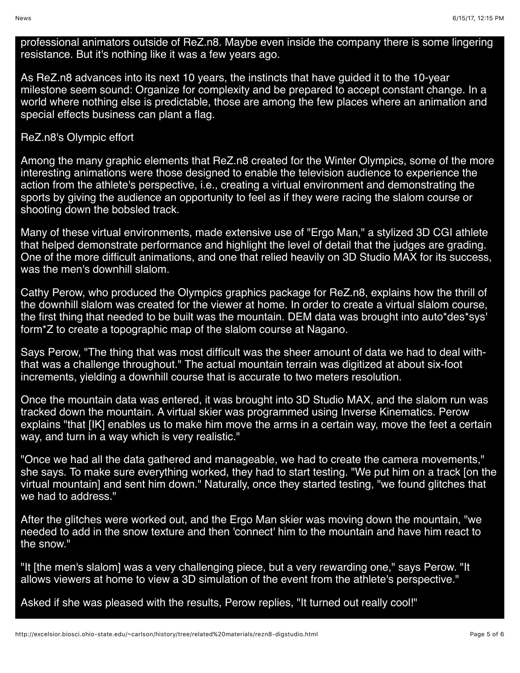professional animators outside of ReZ.n8. Maybe even inside the company there is some lingering resistance. But it's nothing like it was a few years ago.

As ReZ.n8 advances into its next 10 years, the instincts that have guided it to the 10-year milestone seem sound: Organize for complexity and be prepared to accept constant change. In a world where nothing else is predictable, those are among the few places where an animation and special effects business can plant a flag.

## ReZ.n8's Olympic effort

Among the many graphic elements that ReZ.n8 created for the Winter Olympics, some of the more interesting animations were those designed to enable the television audience to experience the action from the athlete's perspective, i.e., creating a virtual environment and demonstrating the sports by giving the audience an opportunity to feel as if they were racing the slalom course or shooting down the bobsled track.

Many of these virtual environments, made extensive use of "Ergo Man," a stylized 3D CGI athlete that helped demonstrate performance and highlight the level of detail that the judges are grading. One of the more difficult animations, and one that relied heavily on 3D Studio MAX for its success, was the men's downhill slalom.

Cathy Perow, who produced the Olympics graphics package for ReZ.n8, explains how the thrill of the downhill slalom was created for the viewer at home. In order to create a virtual slalom course, the first thing that needed to be built was the mountain. DEM data was brought into auto\*des\*sys' form\*Z to create a topographic map of the slalom course at Nagano.

Says Perow, "The thing that was most difficult was the sheer amount of data we had to deal withthat was a challenge throughout." The actual mountain terrain was digitized at about six-foot increments, yielding a downhill course that is accurate to two meters resolution.

Once the mountain data was entered, it was brought into 3D Studio MAX, and the slalom run was tracked down the mountain. A virtual skier was programmed using Inverse Kinematics. Perow explains "that [IK] enables us to make him move the arms in a certain way, move the feet a certain way, and turn in a way which is very realistic."

"Once we had all the data gathered and manageable, we had to create the camera movements," she says. To make sure everything worked, they had to start testing. "We put him on a track [on the virtual mountain] and sent him down." Naturally, once they started testing, "we found glitches that we had to address."

After the glitches were worked out, and the Ergo Man skier was moving down the mountain, "we needed to add in the snow texture and then 'connect' him to the mountain and have him react to the snow."

"It [the men's slalom] was a very challenging piece, but a very rewarding one," says Perow. "It allows viewers at home to view a 3D simulation of the event from the athlete's perspective."

Asked if she was pleased with the results, Perow replies, "It turned out really cool!"